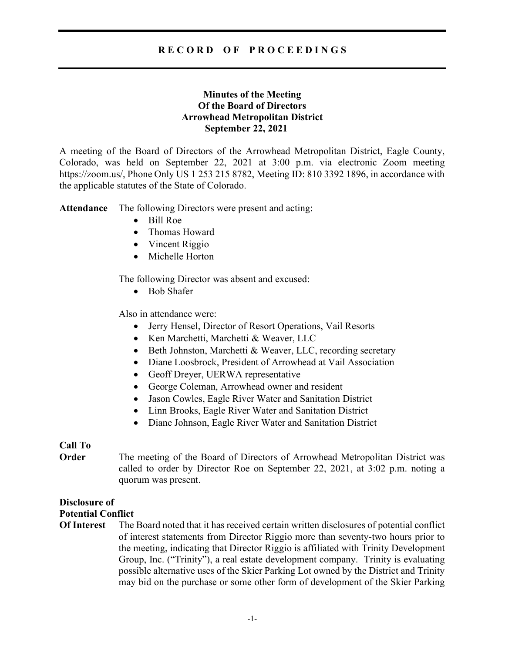# R E C O R D O F P R O C E E D I N G S

# Minutes of the Meeting Of the Board of Directors Arrowhead Metropolitan District September 22, 2021

A meeting of the Board of Directors of the Arrowhead Metropolitan District, Eagle County, Colorado, was held on September 22, 2021 at 3:00 p.m. via electronic Zoom meeting https://zoom.us/, Phone Only US 1 253 215 8782, Meeting ID: 810 3392 1896, in accordance with the applicable statutes of the State of Colorado.

Attendance The following Directors were present and acting:

- Bill Roe
- Thomas Howard
- Vincent Riggio
- Michelle Horton

The following Director was absent and excused:

• Bob Shafer

Also in attendance were:

- Jerry Hensel, Director of Resort Operations, Vail Resorts
- Ken Marchetti, Marchetti & Weaver, LLC
- Beth Johnston, Marchetti & Weaver, LLC, recording secretary
- Diane Loosbrock, President of Arrowhead at Vail Association
- Geoff Dreyer, UERWA representative
- George Coleman, Arrowhead owner and resident
- Jason Cowles, Eagle River Water and Sanitation District
- Linn Brooks, Eagle River Water and Sanitation District
- Diane Johnson, Eagle River Water and Sanitation District

### Call To

Order The meeting of the Board of Directors of Arrowhead Metropolitan District was called to order by Director Roe on September 22, 2021, at 3:02 p.m. noting a quorum was present.

# Disclosure of

### Potential Conflict

Of Interest The Board noted that it has received certain written disclosures of potential conflict of interest statements from Director Riggio more than seventy-two hours prior to the meeting, indicating that Director Riggio is affiliated with Trinity Development Group, Inc. ("Trinity"), a real estate development company. Trinity is evaluating possible alternative uses of the Skier Parking Lot owned by the District and Trinity may bid on the purchase or some other form of development of the Skier Parking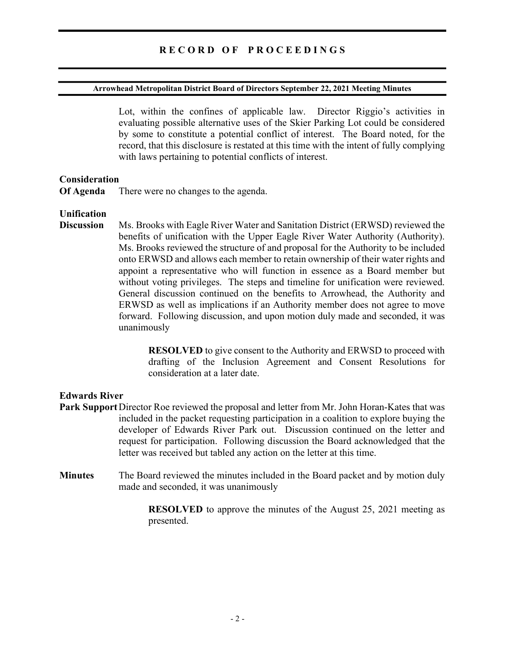#### Arrowhead Metropolitan District Board of Directors September 22, 2021 Meeting Minutes

Lot, within the confines of applicable law. Director Riggio's activities in evaluating possible alternative uses of the Skier Parking Lot could be considered by some to constitute a potential conflict of interest. The Board noted, for the record, that this disclosure is restated at this time with the intent of fully complying with laws pertaining to potential conflicts of interest.

#### Consideration

Of Agenda There were no changes to the agenda.

#### Unification

Discussion Ms. Brooks with Eagle River Water and Sanitation District (ERWSD) reviewed the benefits of unification with the Upper Eagle River Water Authority (Authority). Ms. Brooks reviewed the structure of and proposal for the Authority to be included onto ERWSD and allows each member to retain ownership of their water rights and appoint a representative who will function in essence as a Board member but without voting privileges. The steps and timeline for unification were reviewed. General discussion continued on the benefits to Arrowhead, the Authority and ERWSD as well as implications if an Authority member does not agree to move forward. Following discussion, and upon motion duly made and seconded, it was unanimously

> RESOLVED to give consent to the Authority and ERWSD to proceed with drafting of the Inclusion Agreement and Consent Resolutions for consideration at a later date.

### Edwards River

- Park Support Director Roe reviewed the proposal and letter from Mr. John Horan-Kates that was included in the packet requesting participation in a coalition to explore buying the developer of Edwards River Park out. Discussion continued on the letter and request for participation. Following discussion the Board acknowledged that the letter was received but tabled any action on the letter at this time.
- Minutes The Board reviewed the minutes included in the Board packet and by motion duly made and seconded, it was unanimously

 RESOLVED to approve the minutes of the August 25, 2021 meeting as presented.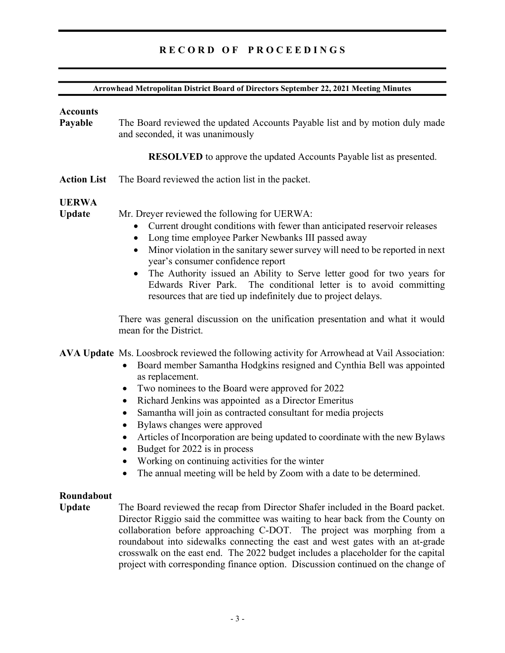# RECORD OF PROCEEDINGS

#### Arrowhead Metropolitan District Board of Directors September 22, 2021 Meeting Minutes

#### **Accounts**

Payable The Board reviewed the updated Accounts Payable list and by motion duly made and seconded, it was unanimously

RESOLVED to approve the updated Accounts Payable list as presented.

Action List The Board reviewed the action list in the packet.

# UERWA

Update Mr. Dreyer reviewed the following for UERWA:

- Current drought conditions with fewer than anticipated reservoir releases
- Long time employee Parker Newbanks III passed away
- Minor violation in the sanitary sewer survey will need to be reported in next year's consumer confidence report
- The Authority issued an Ability to Serve letter good for two years for Edwards River Park. The conditional letter is to avoid committing resources that are tied up indefinitely due to project delays.

There was general discussion on the unification presentation and what it would mean for the District.

AVA Update Ms. Loosbrock reviewed the following activity for Arrowhead at Vail Association:

- Board member Samantha Hodgkins resigned and Cynthia Bell was appointed as replacement.
- Two nominees to the Board were approved for 2022
- Richard Jenkins was appointed as a Director Emeritus
- Samantha will join as contracted consultant for media projects
- Bylaws changes were approved
- Articles of Incorporation are being updated to coordinate with the new Bylaws
- Budget for 2022 is in process
- Working on continuing activities for the winter
- The annual meeting will be held by Zoom with a date to be determined.

### Roundabout

Update The Board reviewed the recap from Director Shafer included in the Board packet. Director Riggio said the committee was waiting to hear back from the County on collaboration before approaching C-DOT. The project was morphing from a roundabout into sidewalks connecting the east and west gates with an at-grade crosswalk on the east end. The 2022 budget includes a placeholder for the capital project with corresponding finance option. Discussion continued on the change of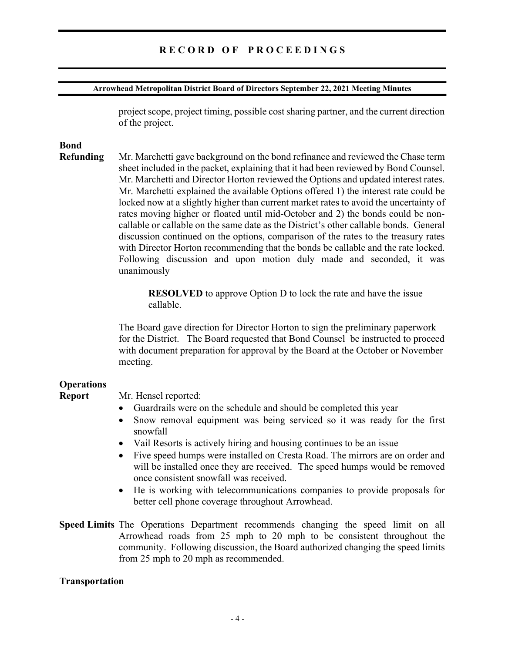# R E C O R D O F P R O C E E D I N G S

#### Arrowhead Metropolitan District Board of Directors September 22, 2021 Meeting Minutes

project scope, project timing, possible cost sharing partner, and the current direction of the project.

# Bond

Refunding Mr. Marchetti gave background on the bond refinance and reviewed the Chase term sheet included in the packet, explaining that it had been reviewed by Bond Counsel. Mr. Marchetti and Director Horton reviewed the Options and updated interest rates. Mr. Marchetti explained the available Options offered 1) the interest rate could be locked now at a slightly higher than current market rates to avoid the uncertainty of rates moving higher or floated until mid-October and 2) the bonds could be noncallable or callable on the same date as the District's other callable bonds. General discussion continued on the options, comparison of the rates to the treasury rates with Director Horton recommending that the bonds be callable and the rate locked. Following discussion and upon motion duly made and seconded, it was unanimously

> RESOLVED to approve Option D to lock the rate and have the issue callable.

The Board gave direction for Director Horton to sign the preliminary paperwork for the District. The Board requested that Bond Counsel be instructed to proceed with document preparation for approval by the Board at the October or November meeting.

### **Operations**

#### Report Mr. Hensel reported:

- Guardrails were on the schedule and should be completed this year
- Snow removal equipment was being serviced so it was ready for the first snowfall
- Vail Resorts is actively hiring and housing continues to be an issue
- Five speed humps were installed on Cresta Road. The mirrors are on order and will be installed once they are received. The speed humps would be removed once consistent snowfall was received.
- He is working with telecommunications companies to provide proposals for better cell phone coverage throughout Arrowhead.
- Speed Limits The Operations Department recommends changing the speed limit on all Arrowhead roads from 25 mph to 20 mph to be consistent throughout the community. Following discussion, the Board authorized changing the speed limits from 25 mph to 20 mph as recommended.

#### Transportation